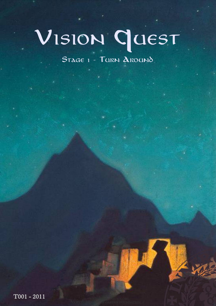# Vision Quest

STAGE 1 - TURN AROUND

NEW WEB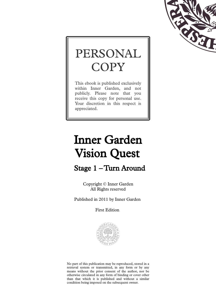

## PERSONAL **COPY**

This ebook is published exclusively within Inner Garden, and not publicly. Please note that you receive this copy for personal use. Your discretion in this respect is appreciated.

## Inner Garden Vision Quest

Stage 1 – Turn Around

Copyright © Inner Garden All Rights reserved

Published in 2011 by Inner Garden

First Edition



No part of this publication may be reproduced, stored in a retrieval system or transmitted, in any form or by any means without the prior consent of the author, nor be otherwise circulated in any form of binding or cover other than that which it is published and without a similar condition being imposed on the subsequent owner.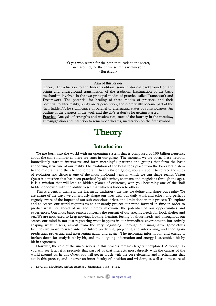

"O yea who search for the path that leads to the secret, Turn around, for the entire secret is within you" (Ibn Arabi)

#### Aim of this lesson

Theory: Introduction to the Inner Tradition, some historical background on the origin and underground transmission of the tradition. Explanation of the basic mechanism involved in the two principal modes of practice called Trancework and Dreamwork. The potential for healing of these modes of practice, and their potential to alter reality, purify one's perception, and esoterically become part of the 'half hidden'. The significance of parallel or alternating states of consciousness. An outline of the dangers of the work and the do's & don'ts for getting started. Practice: Analysis of strengths and weaknesses, start of the journey in the meadow, autosuggestion and intention to remember dreams, meditation on the first symbol.

### **Theory**

#### Introduction

We are born into the world with an operating system that is composed of 100 billion neurons, about the same number as there are stars in our galaxy. The moment we are born, these neurons immediately start to interweave and form meaningful patterns and groups that form the basic supporting structure of our reality. The evolution of the brain took place from the lower brain stem to the midbrain and then to the forebrain. In this Vision Quest, you are about to retrace the steps of evolution and discover one of the most profound ways in which we can shape reality. Vision Quest is a mission that has been practiced by alchemists, shamans and magicians through the ages. It is a mission that will lead to hidden planes of existence, with you becoming one of the 'half hidden' endowed with the ability to see that which is hidden to others.

This is a central theme in the Hermetic tradition - the way we define and shape our reality. We are aware of the ways we consciously shape our lives with our daily work and effort, and perhaps vaguely aware of the impact of our sub-conscious drives and limitations in this process. To explore and to search our world requires us to constantly project our mind forward in time in order to predict what lies ahead of us and thereby maximise the potential of our opportunities and experiences. Our most basic search concerns the pursuit of our specific needs for food, shelter and sex. We are motivated to keep moving, looking, hearing, feeling by those needs and throughout out search our mind is not just registering what happens in our immediate environment, but actively shaping what it sees, almost from the very beginning. Through our imaginative (predictive) faculties we move forward into the future predicting, projecting and intervening, and then again predicting, projecting and intervening again and again<sup>[1](#page-2-0)</sup>. The incoming information and energy is broken down for analysis bit by bit; and the outgoing information and energy is assembled bit by bit in sequences.

However, the role of the unconscious in this process remains largely unexplored. Although, as you will see later, it is precisely that part of us that interacts most directly with the canvas of the world around us. In this Quest you will get in touch with the core elements and mechanisms that act in this process, and uncover an inner faculty of intuition and wisdom, as well as a measure of

<span id="page-2-0"></span><sup>1</sup> Loye, D., The Sphinx and the Rainbow, (Shambhala, 1983), p.112.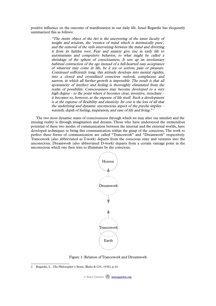positive influence on the outcome of manifestation in our daily life. Israel Regardie has eloquently summarized this as follows:

> "The entire object of the Art is the uncovering of the inner faculty of insight and wisdom, the 'essence of mind which is intrinsically pure', and the removal of the veils intervening between the mind and diverting it from its hidden root. Fear and anxiety give rise in early life to automatisms and compulsive behavior, to what might be called <sup>a</sup> shrinkage of the sphere of consciousness. It sets up an involuntary habitual contraction of the ego instead of a full-hearted easy acceptance of whatever may come in life, be it joy or sorrow, pain or pleasure. Continued sufficiently long, this attitude develops into mental rigidity, into <sup>a</sup> closed and crystallized conscious outlook, complacent and narrow, in which all further growth is impossible. The result is that all spontaneity of intellect and feeling is thoroughly eliminated from the realm of possibility. Consciousness may become developed to a very high degree - to the point where it becomes clear, inventive, trenchant – it becomes so, however, at the expense of life itself. Such a development is at the expense of flexibility and elasticity. Its cost is the loss of all that the underlying and dynamic unconscious aspect of the psyche implies – warmth, depth of feeling, inspiration, and ease of life and living."<sup>[2](#page-3-0)</sup>

The two most dynamic states of consciousness through which we may alter our mindset and the ensuing reality is through imagination and dreams. Those who have understood the tremendous potential of these two modes of communication between the internal and the external worlds, have developed techniques to bring this communication within the grasp of the conscious. The work to perfect these forms of communication are called "Trancework" and "Dreamwork" respectively. Trancework (also abbreviated as T-work) departs from the conscious state and ventures into the unconscious. Dreamwork (also abbreviated D-work) departs from a certain vantage point in the unconscious which one then tries to illuminate by the conscious.



Figure 1: Relation of Trancework and Dreamwork

<span id="page-3-0"></span><sup>2</sup> Regardie, I., The Philosopher's Stone, (Rider & CO., 1938), p.16.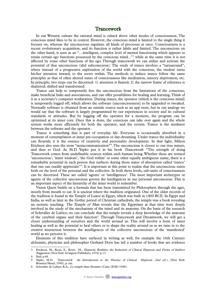#### Trancework

In our Western culture the rational mind is valued above other modes of consciousness. The conscious mind likes to be in control. However, the conscious mind is limited to the single thing it focuses on, whereas the unconscious regulates all kinds of processes at once. Consciousness is a recent evolutionary acquisition, and its function is rather labile and limited. The unconscious on the other hand, is seen as an "…intelligent, complex level of mental functioning which appears to retain certain ego functions possessed by the conscious mind..."<sup>[3](#page-4-0)</sup> while at the same time it is not affected by some other functions of the ego. Through trancework we can utilize and activate the potential of that unconscious (abd subconscious). The study of trance involves a "turnaround", where instead of a progressive exploration of the world with the conscious, the student turns his/her attention inward, to the secret within. The methods to induce trance follow the same principles as that of other altered states of consciousness like meditation, sensory deprivation, etc. In principle, two steps can be discerned: 1) attention is fixated; 2) the narrow frame of reference is shattered, shifted and transformed.

Trance can help to temporarily free the unconscious from the limitations of the conscious, make beneficial links and associations, and can offer possibilities for healing and learning. Think of it as a secretary's computer workstation. During trance, the operator (which is the conscious mind) is temporarily logged off, which allows the software (unconsciousness) to be upgraded or tweaked. Normally software is obtained from an outside source such as an app store, but in our analogy we would say that the software is largely programmed by our experiences in society and its cultural standards or attitudes. But by logging off the operator for a moment, the program can be optimized at its inner core. Once this is done, the conscious can take over again and the whole system works more efficiently for both the operator, and the system. Trance is the mediator between the software and the operator.

Trance is something that is part of everyday life. Everyone is occasionally absorbed in a moment of contemplation or inner pre-occupation or day-dreaming. Under trance the individuality can flourish; it is the essence of creativity and personality development. In that light, Milton Erickson also uses the term "metacommunication"[4](#page-4-1) . The unconscious is closest to our true nature, and thus to God. As M.D. Yapko put it in his book Trancework: "The strength of doing Trancework comes from undefinable sources within each human being. Whether these are termed 'unconscious', 'inner wisdom', 'the God within' or some other equally ambiguous name, there is a remarkable potential in each person that surfaces during those states of absorption called 'trance' that one can readily appreciate<sup>"[5](#page-4-2)</sup>. It is important at this point to realize that the unconscious exists both on the level of the personal and the collective. In both these levels, sub-units of consciousness can be discerned. These are called 'agents' or 'intelligences'. The most important archetypes or agents of the collective unconscious govern the intelligences in our personal unconscious. This is an important aspect of the hierarchy of the inner world to remember.

Vision Quest builds on a formula that has been transmitted by Philosophers through the ages, mostly from mouth to ear. It is unclear where the tradition originated. One of the older records of the tradition is found in the Temple of Luxor in Egypt, which was built in 1400 BCE. In Egypt and India, as well as later in the Gothic period of Christian cathedrals, the temple was a book revealing an esoteric teaching. The Temple of Man reveals that the Egyptians at that time were deeply involved in the study of the mechanism of the mind and its anatomy. On the basis of the research of Schwaller de Lubicz, we can conclude that the temple reveals a deep knowledge of the anatomy of the cerebral organs and their function<sup>[6](#page-4-3)</sup>. Through Trancework and Dreamwork, we will get a closer understanding of ourselves and the world around us. This will involve a form of inner healing as well as the potential to heal others or to shape the reality around us as we tune in to the creative interaction between the intelligences of the collective unconscious of the 'manifested' world as we perceive it.

Elements of this tradition have surfaced in writing as well, for example the 16th Century alchemist, physician and philosopher Gerhard Dorn has left a number of books that are evidence

<span id="page-4-0"></span><sup>3</sup> Erickson, M., Rossi, E., Rossi, M., Hypnotic Realities: the Induction of Clinical Hypnosis and Forms of Indirect Suggestion (New York: Irvington Publishers, 1976) p.13.

<span id="page-4-2"></span>

<span id="page-4-1"></span>Ibid, p.68.<br>Yapko, M.D. Trancework: An Introduction to the Practice of Clinical Hypnosis (2nd ed.), (New York: Brunner/Mazel, 1990), p. xxi.

<span id="page-4-3"></span><sup>6</sup> Schwaller de Lubicz, R.A., Le temple dans l'homme (Cairo: IFAO 1949).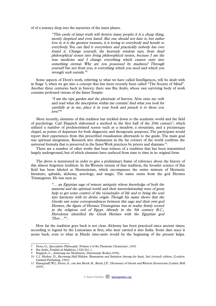of of a journey deep into the mysteries of the inner planes.

"This castle of inner truth will destroy many people; it is a cheap thing, mostly despised and even hated. But one should not hate it, but rather love it; it is the greatest treasure, it is loving to everybody and hostile to everybody. You can find it everywhere and practically nobody has ever found it. Change yourself, the heavenly wisdom says, from dead philosophical stones into living philosophical stones, because I am the true medicine and <sup>I</sup> change everything which cannot exist into something eternal. Why are you possessed by madness? Through yourself but not from you, is everything which you need and which you wrongly seek outside."[7](#page-5-0)

Some aspects of Dorn's work, referring to what we have called Intelligences, will be dealt with in Stage 3, when we get into a concept that has more recently been called "The Society of Mind". Another three centuries back in history, there was Ibn Arabi, whose vast surviving body of work contains profound visions of the Inner Temple:

> "I am the ripe garden and the plenitude of harvest. Now raise my veils and read what the inscription within me contain! And what you look for carefully at in me, place it in your book and preach it to those you love!" [8](#page-5-1)

More recently, elements of this tradition has trickled down to the academic world and the field of psychology. Carl Happich elaborated a method in the first half of the 20th century<sup>[9](#page-5-2)</sup>, which utilized a number of predetermined scenes such as a meadow, a mountain, and a picturesque chapel, as points of departure for both diagnostic and therapeutic purposes. The participant would report their experiences from this prescribed visualisation afterwards to the guide. The main goal was spiritual integration. Research into shamanism in the far corners of the world confirms the universal formula that is preserved in the Inner Work practices by priests and shamans  $10$ .

 There are a number of other works that bear witness of a tradition that has been transmitted largely underground, but of which elements have surfaced from time to time in its original form.

 The above is mentioned in order to give a preliminary frame of reference about the history of this almost forgotten tradition. In the Western stream of that tradition, the broader science of this field has been labeled as Hermeticism, which encompasses the entire mixture of Hermetic literature, qabalah, alchemy, astrology, and magic. The name stems from the god Hermes Trismegistus. He was seen as:

> "… an Egyptian sage of remote antiquity whose knowledge of both the material and the spiritual world and their interrelationship were of great help to get some control of the vicissitudes of life and to bring the soul into harmony with its divine origin. Though his name shows that the Greeks saw some correspondences between this sage and their own god Hermes, the figure of Hermes Trismegistus was in reality firmly rooted in the religious soil of Egypt. Already in the 5th century B.C., Herodotus identified the Greek Hermes with the Egyptian god  $Thot ...$ <sup>"[11](#page-5-4)</sup>.

How far the tradition goes back is not clear. Alchemy has been practiced since ancient times; according to legend by the Lemurians at first, who later carried it into India. Some dare trace it aeons back, even to what in Hindu time-units would be the beginning of the present kalpa.

<span id="page-5-0"></span><sup>7</sup> Dorn, G., Speculative Philosophy (Volume I of the Theatrum Chemicum), 1602.

<span id="page-5-1"></span><sup>8</sup> Ibn Arabi, Futûhât al-Makkiyya, 1329, Vol. 1.

<span id="page-5-2"></span>Happich, C., Anleitung zur Meditation, (Darmstadt: Rother,1938).

<span id="page-5-3"></span><sup>10</sup> C.f. Merkur, D., Becoming Half Hidden: Shamanism and Initiation Among the Inuit, 2nd (revised) edition, (London: Garland Publishing, 1992).

<span id="page-5-4"></span><sup>11</sup> Hanegraaff, W.J., Faivre, A., van den Broek, R., Brach, J.P., Dictionary of Gnosis and Western Esotericism (Leiden: Brill 2005).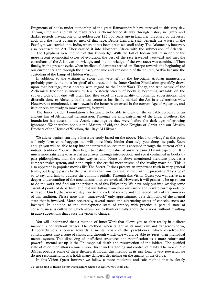Fragments of books under authorship of the great Rãmacandra<sup>[12](#page-6-0)</sup> have survived to this very day. Through the rise and fall of many races, alchemy found its way through history in lighter and darker periods, having one of its golden ages 125,000 years ago in Lemuria, practised by the lesser gods and the most advanced men of that race. Before Lemuria sank beneath the waters of the Pacific, it was carried into India, where it has been practised until today. The Atlanteans, however, also practised the Art. They carried it into Northern Africa with the submersion of Atlantis.

The Egyptians were the heir of this knowledge. With the fall of Indian culture in one of the more recent equinoctial cycles of evolution, the best of the race travelled westward and met the custodians of the Atlantean knowledge, and the knowledge of the two races was combined. Then finally, in the present cycle, when intellectual darkness settled on Europe towards the beginning of our current era and through the subsequent rule and censorship of the church, Arabia became the custodian of the Lamp of Hidden Wisdom.

In addition to the writings in stone that were left by the Egyptians, Arabian manuscripts probably provide the most 'original' of sources, and the Inner Garden Foundation gratefully draws upon that heritage, most notably with regard to the Inner Work. Today, the true nature of the Alchemical tradition is known by few. A steady stream of books is becoming available on the subject today, but one will often find they excel in superficiality or romantic superstitions. The discredit done to Alchemy in the last centuries has firmly marked the Art in a deleterious way. However, as mentioned, a turn towards the better is observed in the current Age of Aquarius, and its pioneers are ready to move onward, forward.

The Inner Garden Foundation is fortunate to be able to draw on the valuable resource of an ancient line of Alchemical transmission. Through the kind patronage of the Elder Brothers, the foundation has access to the Arabic teachings as they were before the dark ages of growing ignorance. We therefore honour the Masters of old, the Poor Knights of Christ and our Muslim Brothers of the House of Wisdom, the 'Bayt Al Hikmah'.

We advise against starting a literature study based on the above. 'Head knowledge' at this point will only form extra baggage that will more likely hinder than help you along the path. Soon enough you will be able to tap into the universal source that is accessed through the current of this initiatic tradition. You will than begin to realize the value of answers gained by introspection. It is much more satisfying to arrive at an answer through introspection and see it confirmed in books by past philosophers, than the other way around. None of above mentioned literature provides a comprehensive system, and none explain the crucial mechanisms of the 'reality machine'. This is also apparent in popular movies like The Secret. It does present an important truth in very general terms, but largely passes by the crucial mechanisms to arrive at the truth. It presents a "black box" so to say, and fails to address the common pitfalls. Through this Vision Quest you will arrive at a deeper understanding of the mechanisms that are involved. However, it will primarily be up to you to do the work and find out the principles of this Philosophy. We have only put into writing some essential points of departure. The rest will follow from your own work and private correspondence with your Guide, that way we stay true to the code of secrecy and the sacred rules of transmission of this tradition. Please note that "trancework" only approximates as a definition of the mental state that is involved. More accurately, several states and alternating states of consciousness are involved. In addition to the autohypnotic state of trance, with practice a parallel state of consciousness is cultivated which allows one to think critically about the visions, without resulting in auto-suggestions that cause the vision to change.

 You will understand that a method of Inner Work that allows you to alter reality in a direct manner is not without danger. The method, when taught in its most raw and dangerous form, deliberately sets a course towards a mental crisis of the practitioner, which dissolves the consciousness into a state of chaos, and through which one would be able to 'reset' their individual mental system. This dissolving of inefficient structures and reunification as a more robust and powerful mental set-up is the Philosophical death and resurrection of the initiate. The purified state of mind then allows a much more direct understanding and control of reality. The movie The Matrix portrays some of these themes. Although this method in its raw form is very powerful, we do not recommend it, as it holds many dangers, depending on the quality of the Guide.

In this Vision Quest however we follow a more moderate and safe method that is closely

<span id="page-6-0"></span><sup>12</sup> According to Indian history Rãmacandra reigned at least 90,000 years ago.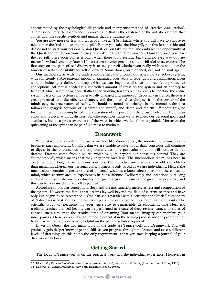approximated by the psychological diagnostic and therapeutic method of 'creative visualization'. There is one important difference, however, and that is the existence of the initiatic element that comes with the specific symbols and images that are transmitted.

You are now more or less at a crossroad, like in *The Matrix*, where you will have to choose to take either the 'red pill' or the 'blue pill'. Either you take the blue pill, put this lesson aside and decide not to start your personal Vision Quest, or you take the red, and embrace the opportunity of the Quest and depart on your journey of awakening with determination. However, once you take the red pill, there soon comes a point when there is no turning back and no easy way out, no matter how hard you may later wish to return to your previous state of blissful unawareness. The first step on the path of self discovery is to ask yourself whether you really wish to shoulder the burden of self-responsibility for self discovery. Some doors, once opened, can not be shut again.

Our method starts with the understanding that the unconscious is a fluid yet robust system, with sufficiently stable patterns inborn or ingrained over years of repetition and assimilation. Even without inducing a deliberate deep crisis, we can begin to dissolve and rectify unproductive conceptions. All that is needed is a controlled amount of stress on the system and an honesty to face that which is out of balance. Rather than working towards a single crisis to redefine the entire system, parts of the system can be gradually changed and improved. Especially in trance, there is a great potential to make effective changes, and the potential to glimpse, from the corner of the minds eye, the true nature of reality. It should be noted that change in the mental realm also follows the spagyric formula of "separate and unite", and death and rebirth<sup>[13](#page-7-0)</sup>. Without this, no form of initiation is accomplished. The separation of the pure from the gross involves an Herculean effort and is never without distress. Self-discrepancies motivate us to meet our personal goals and standards, but at a price: awareness of the ways in which we fall short is painful. Moreover, the quickening of the spirit can be painful almost to madness.

#### Dreamwork

When starting a powerful inner work method like Vision Quest, the monitoring of our dreams becomes extra important. Conflicts that we are unable to solve in our daily conscious will continue to digest in the unconscious and important clues to a particular solution will surface in our dreams. Dreams come from a source which is quite beyond our conscious control. They are "autonomous", which means that they obey their own laws. The unconscious realm, has been in existence much longer than our consciousness. The collective unconscious is as old - or older than mankind, whereas our personal consciousness is only as old as we are individually. Hence, the unconscious contains a greater store of universal wisdom; a knowledge superior to the conscious mind, which accumulates its experiences in but a lifetime. Deliberately and intentionally reliving and analysing your dream subordinates the ego to a psychic principle of greater importance, and this can be very insightful as well as painful.

According to popular conception, sleep and dreams function merely as rest and recuperation of the system. However, the fact is that dreams lay well beyond the field of current science and have only just begun to be researched<sup>[14](#page-7-1)</sup>. One can see a parallel with electricity: the Greek Philosophers of Nature knew of it, but for thousands of years, no one regarded it as more than a curiosity. The scientific study of electricity, however, gave rise to remarkable developments. The Hermetic tradition teaches that self-healing can be performed in a state of deep reverie, trance, or states of consciousness similar to the creative state of dreaming. Your mental imagery can mobilize your inner powers. These powers have an immense potential in the healing process and the promotion of health, as well as being extremely helpful on the path of self-development.

In Vision Quest, the two main tools of the trade are Trancework and Dreamwork. You will gradually gain deeper knowledge and skills as you progress through the lessons and access different levels of dreaming. At this point, the only requirement is that you start keeping a journal of your dreams (see below).

#### Getting Started

The focus of Trancework is on the practical work and the individual experience. However, in

<span id="page-7-0"></span><sup>13</sup> Eliade, M., Rites and Symbols of Initiation (Birth and Rebirth), translated: W. Trask, (London: Harvill Press, 1958).

<span id="page-7-1"></span><sup>14</sup> LaBerge, S., Lucid Dreaming, (New York: Ballantine Books, 1985).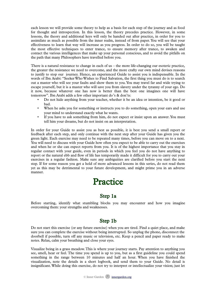each lesson we will provide some theory to help as a basis for each step of the journey and as food for thought and introspection. In this lesson, the theory precedes practice. However, in some lessons, the theory and additional keys will only be handed out after practice, in order for you to assimilate as much as possible from the inner realm, instead of from paper. You will see that your effectiveness to learn that way will increase as you progress. In order to do so, you will be taught the most effective techniques to enter trance, to ensure memory after trance, to awaken and contact the various intelligences that make up your personal conscious, and to avoid the pitfalls on the path that many Philosophers have travelled before you.

There is a natural resistance to change in each of us – the more life-changing our esoteric practice, the greater the resistance we need to overcome, and the more crafty our own mind devises reasons to justify to stop our journey. Hence, an experienced Guide to assist you is indispensable. In the words of Ibn Arabi: "Seeker Who Wishes to Find Salvation, the first thing you must do is to search out a master who will see your faults and show them to you. You may travel far and wide trying to escape yourself, but it is a master who will save you from slavery under the tyranny of your ego. Do it now, because whatever one has now is better than the best one imagines one will have tomorrow". Ibn Arabi adds a few other important do's & don'ts:

- Do not hide anything from your teacher, whether it be an idea or intention, be it good or bad.
- When he asks you for something or instructs you to do something, open your ears and use your mind to understand exactly what he wants.
- If you have to ask something from him, do not expect or insist upon an answer. You must tell him your dreams, but do not insist on an interpretation.

In order for your Guide to assist you as best as possible, it is best you send a small report or feedback after each step, and only continue with the next step after your Guide has given you the green light. Each exercise may need to be repeated many times, before you can move on to a next. You will need to discuss with your Guide how often you expect to be able to carry out the exercises and when he or she can expect reports from you. It is of the highest importance that you stay in regular contact with your guide, even in periods in which you feel you do not have anything to report or the natural ebb and flow of life has temporarily made it difficult for you to carry out your exercises in a regular fashion. Make sure any ambiguities are clarified before you start the next step. If for some reason you get a hold of more advanced lessons in this series, do not read them yet as this may be detrimental to your future development, and might prime you in an adverse manner.

#### Practice

#### Step 1a

Before starting, identify what stumbling blocks you may encounter and how you imagine overcoming them: your strengths and weaknesses.

#### Step 1b

Do not start this exercise (or any future exercise) when you are tired. Find a quiet place, and make sure you can complete the exercise without being interrupted. So unplug the phone, disconnect the doorbell if possible, turn off any music or television, etc. Keep a pencil and paper ready to make notes. Relax, calm your breathing and close your eyes.

Visualize being in a grass meadow. This is where your journey starts. Pay attention to anything you see, smell, hear or feel. The time you spend is up to you, but as a first guideline you could spend something in the range between 10 minutes and half an hour. When you have finished the visualization, note the details in a short logbook, and send them to your Guide. No detail is insignificant. While doing this exercise, do not try to interpret or intellectualize your vision; just let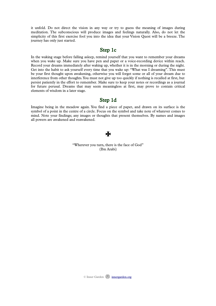it unfold. Do not direct the vision in any way or try to guess the meaning of images during meditation. The subconscious will produce images and feelings naturally. Also, do not let the simplicity of this first exercise fool you into the idea that your Vision Quest will be a breeze. The journey has only just started.

#### Step 1c

In the waking stage before falling asleep, remind yourself that you want to remember your dreams when you wake up. Make sure you have pen and paper or a voice-recording device within reach. Record your dreams immediately after waking up, whether it is in the morning or during the night. Get into the habit to ask yourself every time that you wake up: "What was I dreaming". This must be your first thought upon awakening, otherwise you will forget some or all of your dream due to interference from other thoughts. You must not give up too quickly if nothing is recalled at first, but persist patiently in the effort to remember. Make sure to keep your notes or recordings as a journal for future perusal. Dreams that may seem meaningless at first, may prove to contain critical elements of wisdom in a later stage.

#### Step 1d

Imagine being in the meadow again. You find a piece of paper, and drawn on its surface is the symbol of a point in the centre of a circle. Focus on the symbol and take note of whatever comes to mind. Note your findings; any images or thoughts that present themselves. By names and images all powers are awakened and reawakened.

#### $\mathbf F$

"Wherever you turn, there is the face of God" (Ibn Arabi)